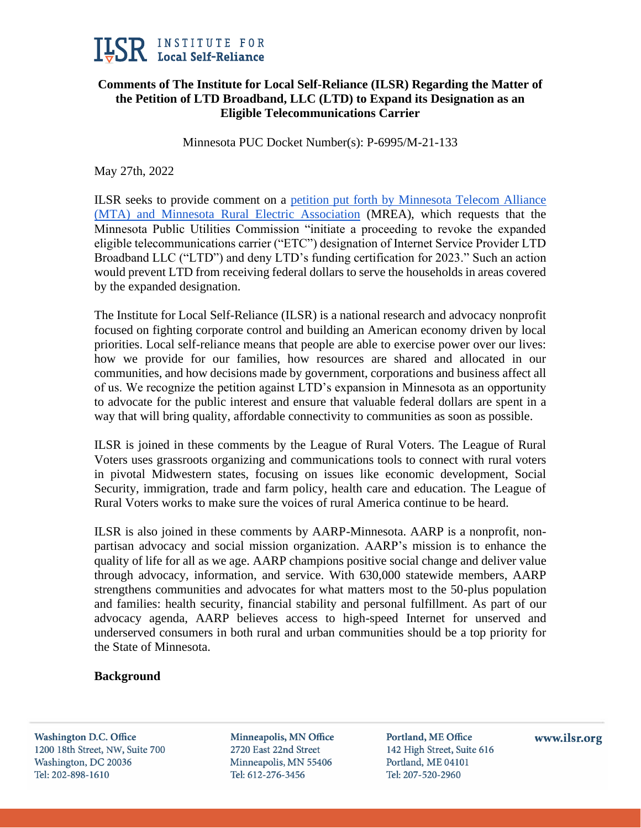

# **Comments of The Institute for Local Self-Reliance (ILSR) Regarding the Matter of the Petition of LTD Broadband, LLC (LTD) to Expand its Designation as an Eligible Telecommunications Carrier**

Minnesota PUC Docket Number(s): P-6995/M-21-133

May 27th, 2022

ILSR seeks to provide comment on a [petition put forth by Minnesota Telecom Alliance](https://www.documentcloud.org/documents/21931645-ltd-broadband-mn-puc-petition)  [\(MTA\) and Minnesota Rural Electric Association](https://www.documentcloud.org/documents/21931645-ltd-broadband-mn-puc-petition) (MREA), which requests that the Minnesota Public Utilities Commission "initiate a proceeding to revoke the expanded eligible telecommunications carrier ("ETC") designation of Internet Service Provider LTD Broadband LLC ("LTD") and deny LTD's funding certification for 2023." Such an action would prevent LTD from receiving federal dollars to serve the households in areas covered by the expanded designation.

The Institute for Local Self-Reliance (ILSR) is a national research and advocacy nonprofit focused on fighting corporate control and building an American economy driven by local priorities. Local self-reliance means that people are able to exercise power over our lives: how we provide for our families, how resources are shared and allocated in our communities, and how decisions made by government, corporations and business affect all of us. We recognize the petition against LTD's expansion in Minnesota as an opportunity to advocate for the public interest and ensure that valuable federal dollars are spent in a way that will bring quality, affordable connectivity to communities as soon as possible.

ILSR is joined in these comments by the League of Rural Voters. The League of Rural Voters uses grassroots organizing and communications tools to connect with rural voters in pivotal Midwestern states, focusing on issues like economic development, Social Security, immigration, trade and farm policy, health care and education. The League of Rural Voters works to make sure the voices of rural America continue to be heard.

ILSR is also joined in these comments by AARP-Minnesota. AARP is a nonprofit, nonpartisan advocacy and social mission organization. AARP's mission is to enhance the quality of life for all as we age. AARP champions positive social change and deliver value through advocacy, information, and service. With 630,000 statewide members, AARP strengthens communities and advocates for what matters most to the 50-plus population and families: health security, financial stability and personal fulfillment. As part of our advocacy agenda, AARP believes access to high-speed Internet for unserved and underserved consumers in both rural and urban communities should be a top priority for the State of Minnesota.

## **Background**

**Washington D.C. Office** 1200 18th Street, NW, Suite 700 Washington, DC 20036 Tel: 202-898-1610

Minneapolis, MN Office 2720 East 22nd Street Minneapolis, MN 55406 Tel: 612-276-3456

Portland, ME Office 142 High Street, Suite 616 Portland, ME 04101 Tel: 207-520-2960

www.ilsr.org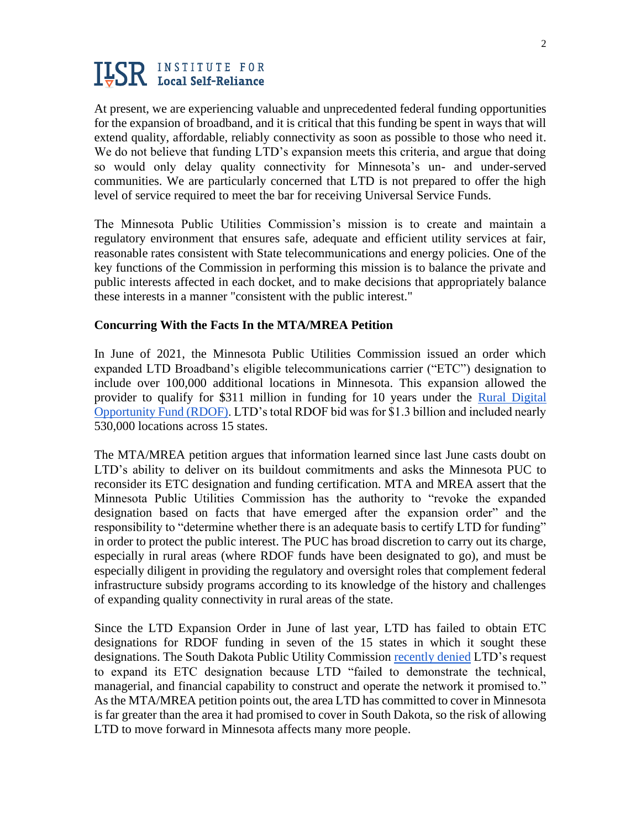At present, we are experiencing valuable and unprecedented federal funding opportunities for the expansion of broadband, and it is critical that this funding be spent in ways that will extend quality, affordable, reliably connectivity as soon as possible to those who need it. We do not believe that funding LTD's expansion meets this criteria, and argue that doing so would only delay quality connectivity for Minnesota's un- and under-served communities. We are particularly concerned that LTD is not prepared to offer the high level of service required to meet the bar for receiving Universal Service Funds.

The Minnesota Public Utilities Commission's mission is to create and maintain a regulatory environment that ensures safe, adequate and efficient utility services at fair, reasonable rates consistent with State telecommunications and energy policies. One of the key functions of the Commission in performing this mission is to balance the private and public interests affected in each docket, and to make decisions that appropriately balance these interests in a manner "consistent with the public interest."

## **Concurring With the Facts In the MTA/MREA Petition**

In June of 2021, the Minnesota Public Utilities Commission issued an order which expanded LTD Broadband's eligible telecommunications carrier ("ETC") designation to include over 100,000 additional locations in Minnesota. This expansion allowed the provider to qualify for \$311 million in funding for 10 years under the [Rural Digital](https://www.fcc.gov/auction/904)  [Opportunity Fund \(RDOF\).](https://www.fcc.gov/auction/904) LTD's total RDOF bid was for \$1.3 billion and included nearly 530,000 locations across 15 states.

The MTA/MREA petition argues that information learned since last June casts doubt on LTD's ability to deliver on its buildout commitments and asks the Minnesota PUC to reconsider its ETC designation and funding certification. MTA and MREA assert that the Minnesota Public Utilities Commission has the authority to "revoke the expanded designation based on facts that have emerged after the expansion order" and the responsibility to "determine whether there is an adequate basis to certify LTD for funding" in order to protect the public interest. The PUC has broad discretion to carry out its charge, especially in rural areas (where RDOF funds have been designated to go), and must be especially diligent in providing the regulatory and oversight roles that complement federal infrastructure subsidy programs according to its knowledge of the history and challenges of expanding quality connectivity in rural areas of the state.

Since the LTD Expansion Order in June of last year, LTD has failed to obtain ETC designations for RDOF funding in seven of the 15 states in which it sought these designations. The South Dakota Public Utility Commission [recently denied](https://www.documentcloud.org/documents/21931645-ltd-broadband-mn-puc-petition) LTD's request to expand its ETC designation because LTD "failed to demonstrate the technical, managerial, and financial capability to construct and operate the network it promised to." As the MTA/MREA petition points out, the area LTD has committed to cover in Minnesota is far greater than the area it had promised to cover in South Dakota, so the risk of allowing LTD to move forward in Minnesota affects many more people.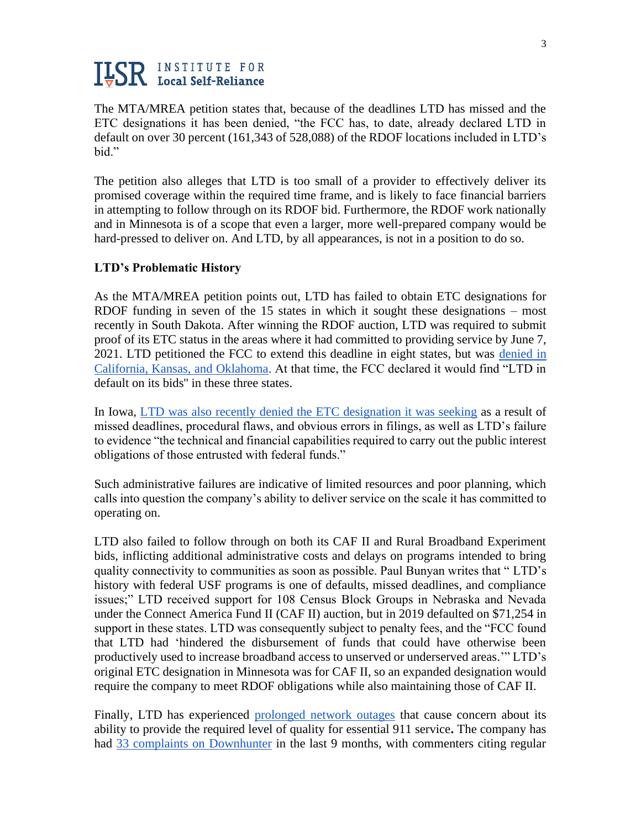The MTA/MREA petition states that, because of the deadlines LTD has missed and the ETC designations it has been denied, "the FCC has, to date, already declared LTD in default on over 30 percent (161,343 of 528,088) of the RDOF locations included in LTD's bid."

The petition also alleges that LTD is too small of a provider to effectively deliver its promised coverage within the required time frame, and is likely to face financial barriers in attempting to follow through on its RDOF bid. Furthermore, the RDOF work nationally and in Minnesota is of a scope that even a larger, more well-prepared company would be hard-pressed to deliver on. And LTD, by all appearances, is not in a position to do so.

## **LTD's Problematic History**

As the MTA/MREA petition points out, LTD has failed to obtain ETC designations for RDOF funding in seven of the 15 states in which it sought these designations – most recently in South Dakota. After winning the RDOF auction, LTD was required to submit proof of its ETC status in the areas where it had committed to providing service by June 7, 2021. LTD petitioned the FCC to extend this deadline in eight states, but was denied in [California, Kansas, and Oklahoma.](https://www.fiercetelecom.com/regulatory/ltd-broadband-dealt-blow-as-fcc-prepares-to-issue-311m-rdof-funds) At that time, the FCC declared it would find "LTD in default on its bids'' in these three states.

In Iowa, [LTD was also recently denied the ETC designation it was seeking](https://muninetworks.org/content/history-errors-catches-ltd-broadband-iowa) as a result of missed deadlines, procedural flaws, and obvious errors in filings, as well as LTD's failure to evidence "the technical and financial capabilities required to carry out the public interest obligations of those entrusted with federal funds."

Such administrative failures are indicative of limited resources and poor planning, which calls into question the company's ability to deliver service on the scale it has committed to operating on.

LTD also failed to follow through on both its CAF II and Rural Broadband Experiment bids, inflicting additional administrative costs and delays on programs intended to bring quality connectivity to communities as soon as possible. Paul Bunyan writes that " LTD's history with federal USF programs is one of defaults, missed deadlines, and compliance issues;" LTD received support for 108 Census Block Groups in Nebraska and Nevada under the Connect America Fund II (CAF II) auction, but in 2019 defaulted on \$71,254 in support in these states. LTD was consequently subject to penalty fees, and the "FCC found that LTD had 'hindered the disbursement of funds that could have otherwise been productively used to increase broadband access to unserved or underserved areas.'" LTD's original ETC designation in Minnesota was for CAF II, so an expanded designation would require the company to meet RDOF obligations while also maintaining those of CAF II.

Finally, LTD has experienced [prolonged network outages](https://blandinonbroadband.org/2021/10/28/frustrations-with-outages-at-ltd-broadband-might-send-red-flag-to-federal-funders/) that cause concern about its ability to provide the required level of quality for essential 911 service**.** The company has had [33 complaints on Downhunter](https://www.downhunter.com/status/ltd-broadband) in the last 9 months, with commenters citing regular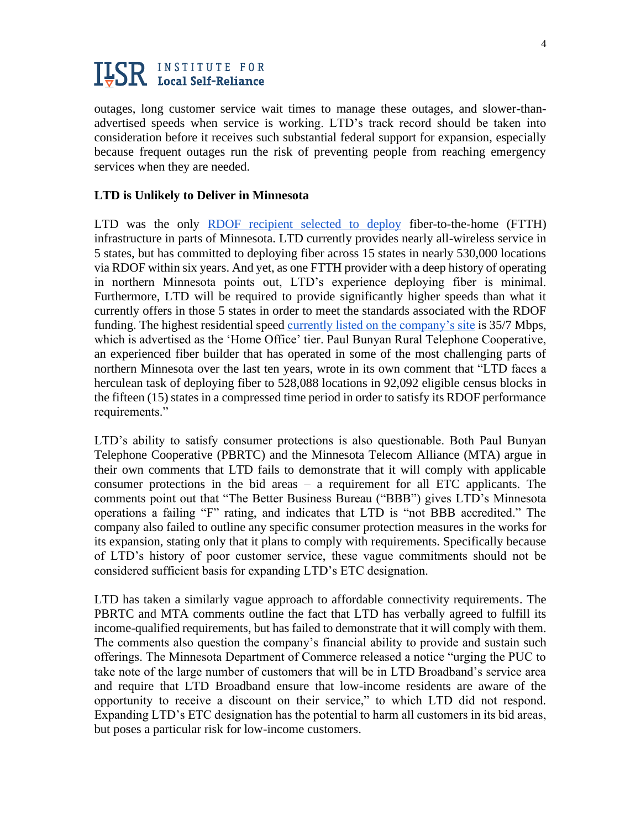outages, long customer service wait times to manage these outages, and slower-thanadvertised speeds when service is working. LTD's track record should be taken into consideration before it receives such substantial federal support for expansion, especially because frequent outages run the risk of preventing people from reaching emergency services when they are needed.

### **LTD is Unlikely to Deliver in Minnesota**

LTD was the only [RDOF recipient selected to](https://blandinonbroadband.org/2021/10/28/frustrations-with-outages-at-ltd-broadband-might-send-red-flag-to-federal-funders/) deploy fiber-to-the-home (FTTH) infrastructure in parts of Minnesota. LTD currently provides nearly all-wireless service in 5 states, but has committed to deploying fiber across 15 states in nearly 530,000 locations via RDOF within six years. And yet, as one FTTH provider with a deep history of operating in northern Minnesota points out, LTD's experience deploying fiber is minimal. Furthermore, LTD will be required to provide significantly higher speeds than what it currently offers in those 5 states in order to meet the standards associated with the RDOF funding. The highest residential speed [currently listed on the company's site](https://ltdbroadband.com/plans) is 35/7 Mbps, which is advertised as the 'Home Office' tier. Paul Bunyan Rural Telephone Cooperative, an experienced fiber builder that has operated in some of the most challenging parts of northern Minnesota over the last ten years, wrote in its own comment that "LTD faces a herculean task of deploying fiber to 528,088 locations in 92,092 eligible census blocks in the fifteen (15) states in a compressed time period in order to satisfy its RDOF performance requirements."

LTD's ability to satisfy consumer protections is also questionable. Both Paul Bunyan Telephone Cooperative (PBRTC) and the Minnesota Telecom Alliance (MTA) argue in their own comments that LTD fails to demonstrate that it will comply with applicable consumer protections in the bid areas – a requirement for all ETC applicants. The comments point out that "The Better Business Bureau ("BBB") gives LTD's Minnesota operations a failing "F" rating, and indicates that LTD is "not BBB accredited." The company also failed to outline any specific consumer protection measures in the works for its expansion, stating only that it plans to comply with requirements. Specifically because of LTD's history of poor customer service, these vague commitments should not be considered sufficient basis for expanding LTD's ETC designation.

LTD has taken a similarly vague approach to affordable connectivity requirements. The PBRTC and MTA comments outline the fact that LTD has verbally agreed to fulfill its income-qualified requirements, but has failed to demonstrate that it will comply with them. The comments also question the company's financial ability to provide and sustain such offerings. The Minnesota Department of Commerce released a notice "urging the PUC to take note of the large number of customers that will be in LTD Broadband's service area and require that LTD Broadband ensure that low-income residents are aware of the opportunity to receive a discount on their service," to which LTD did not respond. Expanding LTD's ETC designation has the potential to harm all customers in its bid areas, but poses a particular risk for low-income customers.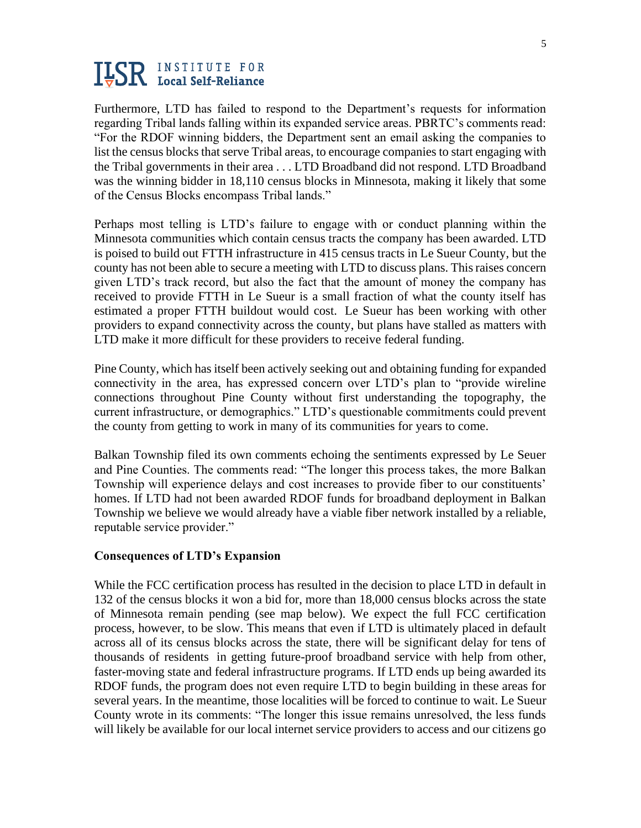Furthermore, LTD has failed to respond to the Department's requests for information regarding Tribal lands falling within its expanded service areas. PBRTC's comments read: "For the RDOF winning bidders, the Department sent an email asking the companies to list the census blocks that serve Tribal areas, to encourage companies to start engaging with the Tribal governments in their area . . . LTD Broadband did not respond. LTD Broadband was the winning bidder in 18,110 census blocks in Minnesota, making it likely that some of the Census Blocks encompass Tribal lands."

Perhaps most telling is LTD's failure to engage with or conduct planning within the Minnesota communities which contain census tracts the company has been awarded. LTD is poised to build out FTTH infrastructure in 415 census tracts in Le Sueur County, but the county has not been able to secure a meeting with LTD to discuss plans. This raises concern given LTD's track record, but also the fact that the amount of money the company has received to provide FTTH in Le Sueur is a small fraction of what the county itself has estimated a proper FTTH buildout would cost. Le Sueur has been working with other providers to expand connectivity across the county, but plans have stalled as matters with LTD make it more difficult for these providers to receive federal funding.

Pine County, which has itself been actively seeking out and obtaining funding for expanded connectivity in the area, has expressed concern over LTD's plan to "provide wireline connections throughout Pine County without first understanding the topography, the current infrastructure, or demographics." LTD's questionable commitments could prevent the county from getting to work in many of its communities for years to come.

Balkan Township filed its own comments echoing the sentiments expressed by Le Seuer and Pine Counties. The comments read: "The longer this process takes, the more Balkan Township will experience delays and cost increases to provide fiber to our constituents' homes. If LTD had not been awarded RDOF funds for broadband deployment in Balkan Township we believe we would already have a viable fiber network installed by a reliable, reputable service provider."

#### **Consequences of LTD's Expansion**

While the FCC certification process has resulted in the decision to place LTD in default in 132 of the census blocks it won a bid for, more than 18,000 census blocks across the state of Minnesota remain pending (see map below). We expect the full FCC certification process, however, to be slow. This means that even if LTD is ultimately placed in default across all of its census blocks across the state, there will be significant delay for tens of thousands of residents in getting future-proof broadband service with help from other, faster-moving state and federal infrastructure programs. If LTD ends up being awarded its RDOF funds, the program does not even require LTD to begin building in these areas for several years. In the meantime, those localities will be forced to continue to wait. Le Sueur County wrote in its comments: "The longer this issue remains unresolved, the less funds will likely be available for our local internet service providers to access and our citizens go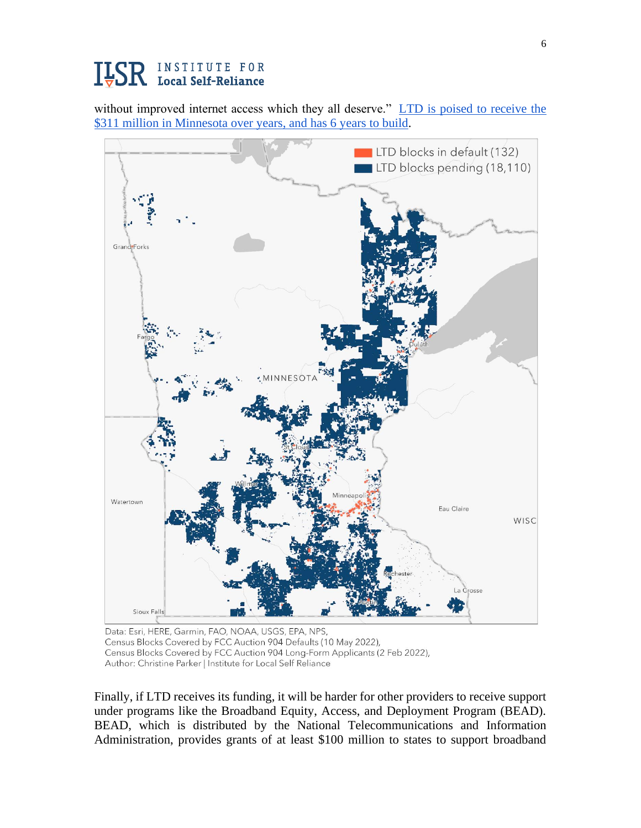without improved internet access which they all deserve." LTD is poised to receive the [\\$311 million in Minnesota over years, and has 6 years](https://efiling.web.commerce.state.mn.us/edockets/searchDocuments.do?method=showPoup&documentId=%7B104A7078-0000-CDB0-B4B5-073B7FB8337E%7D&documentTitle=20213-172302-09) to build.



Data: Esri, HERE, Garmin, FAO, NOAA, USGS, EPA, NPS, Census Blocks Covered by FCC Auction 904 Defaults (10 May 2022), Census Blocks Covered by FCC Auction 904 Long-Form Applicants (2 Feb 2022), Author: Christine Parker | Institute for Local Self Reliance

Finally, if LTD receives its funding, it will be harder for other providers to receive support under programs like the Broadband Equity, Access, and Deployment Program (BEAD). BEAD, which is distributed by the National Telecommunications and Information Administration, provides grants of at least \$100 million to states to support broadband